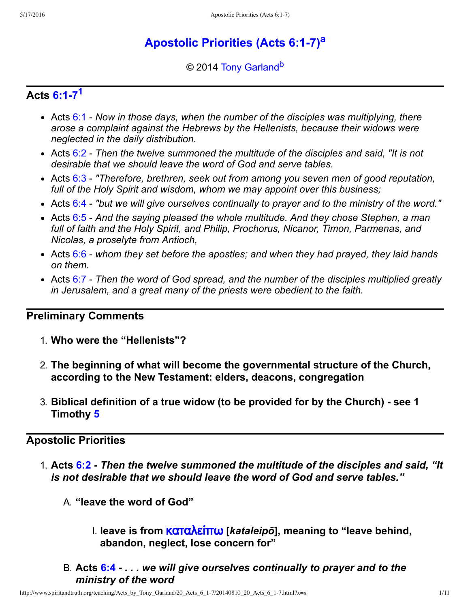# **Apostolic Priorities (Acts 6:1-7)<sup>[a](#page-10-0)</sup>**

<span id="page-0-2"></span><span id="page-0-1"></span>© 2014 [Tony Garland](http://www.spiritandtruth.org/id/tg.htm)<sup>[b](#page-10-1)</sup>

## **Acts [6:17](http://www.spiritandtruth.org/bibles/nasb/b44c006.htm#Acts_C6V1)[1](#page-9-0)**

- <span id="page-0-0"></span>Acts [6:1](http://www.spiritandtruth.org/bibles/nasb/b44c006.htm#Acts_C6V1)  *Now in those days, when the number of the disciples was multiplying, there arose a complaint against the Hebrews by the Hellenists, because their widows were neglected in the daily distribution.*
- Acts [6:2](http://www.spiritandtruth.org/bibles/nasb/b44c006.htm#Acts_C6V2)  *Then the twelve summoned the multitude of the disciples and said, "It is not desirable that we should leave the word of God and serve tables.*
- Acts [6:3](http://www.spiritandtruth.org/bibles/nasb/b44c006.htm#Acts_C6V3)  *"Therefore, brethren, seek out from among you seven men of good reputation, full of the Holy Spirit and wisdom, whom we may appoint over this business;*
- Acts [6:4](http://www.spiritandtruth.org/bibles/nasb/b44c006.htm#Acts_C6V4)  *"but we will give ourselves continually to prayer and to the ministry of the word."*
- Acts [6:5](http://www.spiritandtruth.org/bibles/nasb/b44c006.htm#Acts_C6V5)  *And the saying pleased the whole multitude. And they chose Stephen, a man full of faith and the Holy Spirit, and Philip, Prochorus, Nicanor, Timon, Parmenas, and Nicolas, a proselyte from Antioch,*
- Acts [6:6](http://www.spiritandtruth.org/bibles/nasb/b44c006.htm#Acts_C6V6)  *whom they set before the apostles; and when they had prayed, they laid hands on them.*
- Acts [6:7](http://www.spiritandtruth.org/bibles/nasb/b44c006.htm#Acts_C6V7)  *Then the word of God spread, and the number of the disciples multiplied greatly in Jerusalem, and a great many of the priests were obedient to the faith.*

## **Preliminary Comments**

- 1. **Who were the "Hellenists"?**
- 2. **The beginning of what will become the governmental structure of the Church, according to the New Testament: elders, deacons, congregation**
- 3. **Biblical definition of a true widow (to be provided for by the Church) see 1 Timothy [5](http://www.spiritandtruth.org/bibles/nasb/b54c005.htm#1Ti._C5V1)**

## **Apostolic Priorities**

- 1. **Acts [6:2](http://www.spiritandtruth.org/bibles/nasb/b44c006.htm#Acts_C6V2)** *Then the twelve summoned the multitude of the disciples and said, "It is not desirable that we should leave the word of God and serve tables."*
	- A. **"leave the word of God"**
		- I. **leave is from** [˧α˱α˨ˢί˭ω](http://www.spiritandtruth.org/fontsu/index.htm) **[***kataleipō***], meaning to "leave behind, abandon, neglect, lose concern for"**
	- B. **Acts [6:4](http://www.spiritandtruth.org/bibles/nasb/b44c006.htm#Acts_C6V4)** *. . . we will give ourselves continually to prayer and to the ministry of the word*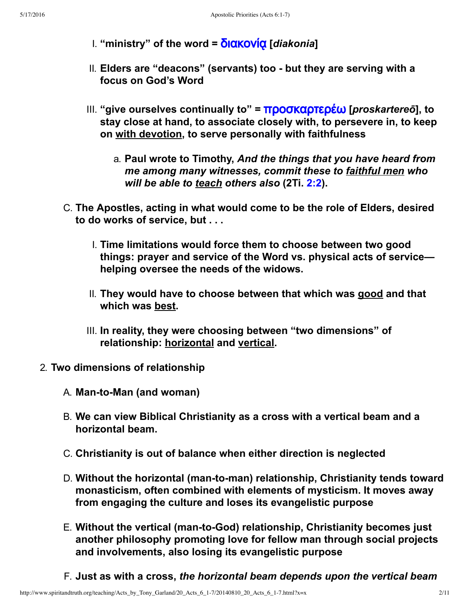I. "ministry" of the word =  $\delta$ **IαΚΟΥΙ΄Ο [***diakonia***]** 

- II. Elders are "deacons" (servants) too but they are serving with a **focus on God's Word**
- III. **"give ourselves continually to" =** [˭ˮˬ˰˧αˮ˱ˢˮέω](http://www.spiritandtruth.org/fontsu/index.htm) **[***proskartereō***], to stay close at hand, to associate closely with, to persevere in, to keep on with devotion, to serve personally with faithfulness**
	- a. **Paul wrote to Timothy,** *And the things that you have heard from me among many witnesses, commit these to faithful men who will be able to teach others also* **(2Ti. [2:2](http://www.spiritandtruth.org/bibles/nasb/b55c002.htm#2Ti._C2V2)).**
- C. **The Apostles, acting in what would come to be the role of Elders, desired to do works of service, but . . .**
	- I. **Time limitations would force them to choose between two good things: prayer and service of the Word vs. physical acts of service helping oversee the needs of the widows.**
	- II. **They would have to choose between that which was good and that which was best.**
	- III. **In reality, they were choosing between "two dimensions" of relationship: horizontal and vertical.**
- 2. **Two dimensions of relationship**
	- A. **Man-to-Man (and woman)**
	- B. **We can view Biblical Christianity as a cross with a vertical beam and a horizontal beam.**
	- C. **Christianity is out of balance when either direction is neglected**
	- D. Without the horizontal (man-to-man) relationship, Christianity tends toward **monasticism, often combined with elements of mysticism. It moves away from engaging the culture and loses its evangelistic purpose**
	- E. **Without the vertical (mantoGod) relationship, Christianity becomes just another philosophy promoting love for fellow man through social projects and involvements, also losing its evangelistic purpose**
	- F. **Just as with a cross,** *the horizontal beam depends upon the vertical beam*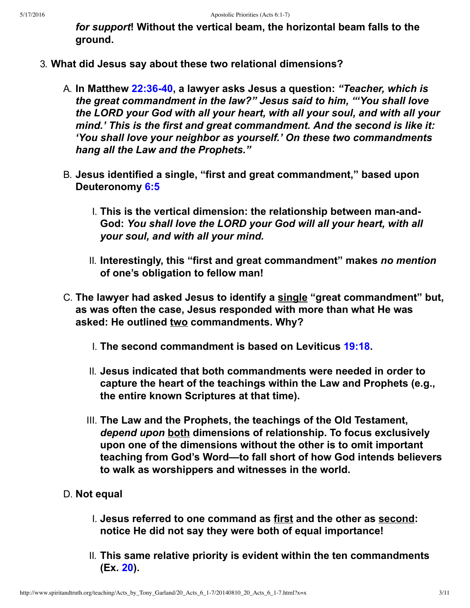*for support***! Without the vertical beam, the horizontal beam falls to the ground.**

- 3. **What did Jesus say about these two relational dimensions?**
	- A. **In Matthew [22:3640,](http://www.spiritandtruth.org/bibles/nasb/b40c022.htm#Mat._C22V36) a lawyer asks Jesus a question:** *"Teacher, which is the great commandment in the law?" Jesus said to him, "'You shall love the LORD your God with all your heart, with all your soul, and with all your mind.' This is the first and great commandment. And the second is like it: 'You shall love your neighbor as yourself.' On these two commandments hang all the Law and the Prophets."*
	- B. **Jesus identified a single, "first and great commandment," based upon Deuteronomy [6:5](http://www.spiritandtruth.org/bibles/nasb/b05c006.htm#Deu._C6V5)**
		- I. This is the vertical dimension: the relationship between man-and-**God:** *You shall love the LORD your God will all your heart, with all your soul, and with all your mind.*
		- II. **Interestingly, this "first and great commandment" makes** *no mention* **of one's obligation to fellow man!**
	- C. **The lawyer had asked Jesus to identify a single "great commandment" but, as was often the case, Jesus responded with more than what He was asked: He outlined two commandments. Why?**
		- I. **The second commandment is based on Leviticus [19:18](http://www.spiritandtruth.org/bibles/nasb/b03c019.htm#Lev._C19V18).**
		- II. **Jesus indicated that both commandments were needed in order to capture the heart of the teachings within the Law and Prophets (e.g., the entire known Scriptures at that time).**
		- III. **The Law and the Prophets, the teachings of the Old Testament,** *depend upon* **both dimensions of relationship. To focus exclusively upon one of the dimensions without the other is to omit important teaching from God's Word—to fall short of how God intends believers to walk as worshippers and witnesses in the world.**
	- D. **Not equal**
		- I. **Jesus referred to one command as first and the other as second: notice He did not say they were both of equal importance!**
		- II. **This same relative priority is evident within the ten commandments (Ex. [20\)](http://www.spiritandtruth.org/bibles/nasb/b02c020.htm#Ex._C20V1).**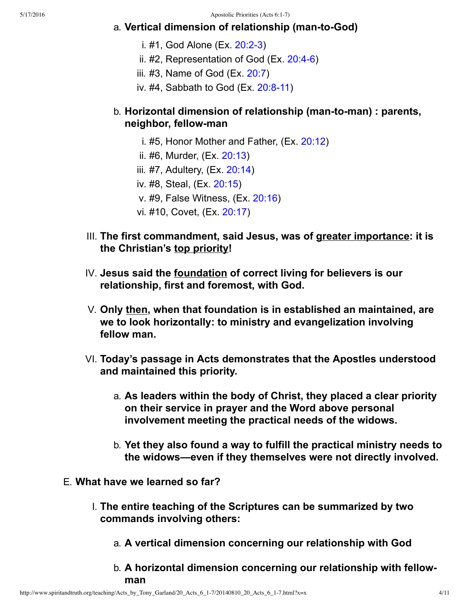## a. **Vertical dimension of relationship (man-to-God)**

- i.  $#1$ , God Alone (Ex.  $20:2-3$ )
- ii.  $#2$ , Representation of God (Ex.  $20:4-6$ )
- iii. #3, Name of God (Ex. [20:7\)](http://www.spiritandtruth.org/bibles/nasb/b02c020.htm#Ex._C20V7)
- iv. #4, Sabbath to God  $(Ex. 20.8-11)$

## b. **Horizontal dimension of relationship (man-to-man) : parents, neighbor, fellowman**

- i. #5, Honor Mother and Father, (Ex. [20:12](http://www.spiritandtruth.org/bibles/nasb/b02c020.htm#Ex._C20V12))
- ii. #6, Murder, (Ex. [20:13](http://www.spiritandtruth.org/bibles/nasb/b02c020.htm#Ex._C20V13))
- iii. #7, Adultery, (Ex. [20:14](http://www.spiritandtruth.org/bibles/nasb/b02c020.htm#Ex._C20V14))
- iv. #8, Steal, (Ex. [20:15\)](http://www.spiritandtruth.org/bibles/nasb/b02c020.htm#Ex._C20V15)
- v. #9, False Witness, (Ex. [20:16\)](http://www.spiritandtruth.org/bibles/nasb/b02c020.htm#Ex._C20V16)
- vi. #10, Covet, (Ex. [20:17\)](http://www.spiritandtruth.org/bibles/nasb/b02c020.htm#Ex._C20V17)
- III. **The first commandment, said Jesus, was of greater importance: it is the Christian's top priority!**
- IV. **Jesus said the foundation of correct living for believers is our relationship, first and foremost, with God.**
- V. **Only then, when that foundation is in established an maintained, are we to look horizontally: to ministry and evangelization involving fellow man.**
- VI. **Today's passage in Acts demonstrates that the Apostles understood and maintained this priority.**
	- a. **As leaders within the body of Christ, they placed a clear priority on their service in prayer and the Word above personal involvement meeting the practical needs of the widows.**
	- b. **Yet they also found a way to fulfill the practical ministry needs to the widows—even if they themselves were not directly involved.**
- E. **What have we learned so far?**
	- I. **The entire teaching of the Scriptures can be summarized by two commands involving others:**
		- a. **A vertical dimension concerning our relationship with God**
		- b. **A horizontal dimension concerning our relationship with fellowman**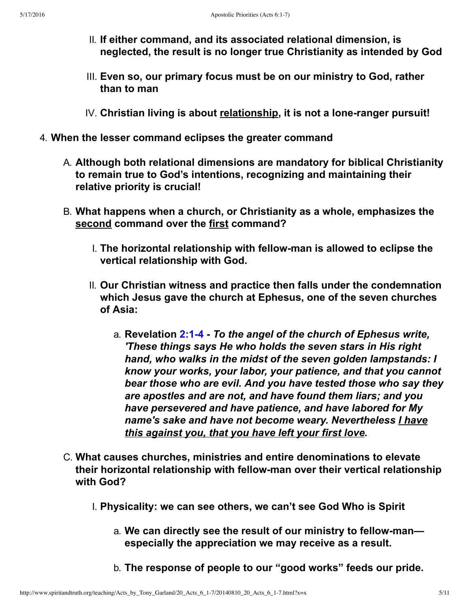- II. **If either command, and its associated relational dimension, is neglected, the result is no longer true Christianity as intended by God**
- III. **Even so, our primary focus must be on our ministry to God, rather than to man**
- IV. Christian living is about relationship, it is not a lone-ranger pursuit!
- 4. **When the lesser command eclipses the greater command**
	- A. **Although both relational dimensions are mandatory for biblical Christianity to remain true to God's intentions, recognizing and maintaining their relative priority is crucial!**
	- B. **What happens when a church, or Christianity as a whole, emphasizes the second command over the first command?**
		- I. **The horizontal relationship with fellowman is allowed to eclipse the vertical relationship with God.**
		- II. **Our Christian witness and practice then falls under the condemnation which Jesus gave the church at Ephesus, one of the seven churches of Asia:**
			- a. **Revelation [2:14](http://www.spiritandtruth.org/bibles/nasb/b66c002.htm#Rev._C2V1)** *To the angel of the church of Ephesus write, 'These things says He who holds the seven stars in His right hand, who walks in the midst of the seven golden lampstands: I know your works, your labor, your patience, and that you cannot bear those who are evil. And you have tested those who say they are apostles and are not, and have found them liars; and you have persevered and have patience, and have labored for My name's sake and have not become weary. Nevertheless I have this against you, that you have left your first love.*
	- C. **What causes churches, ministries and entire denominations to elevate their horizontal relationship with fellowman over their vertical relationship with God?**
		- I. **Physicality: we can see others, we can't see God Who is Spirit**
			- a. **We can directly see the result of our ministry to fellowman especially the appreciation we may receive as a result.**
			- b. **The response of people to our "good works" feeds our pride.**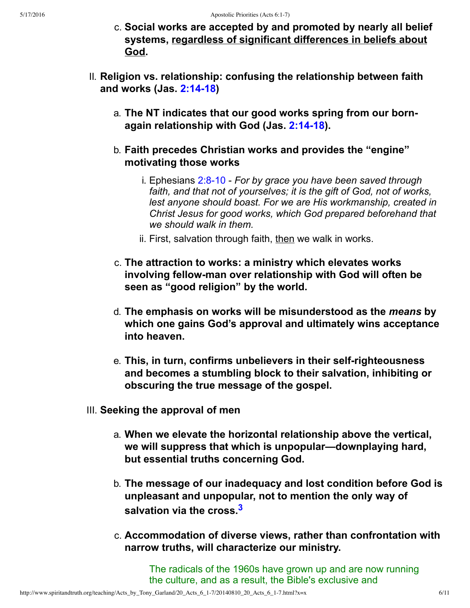- c. **Social works are accepted by and promoted by nearly all belief systems, regardless of significant differences in beliefs about God.**
- II. **Religion vs. relationship: confusing the relationship between faith and works (Jas. [2:1418](http://www.spiritandtruth.org/bibles/nasb/b59c002.htm#Jas._C2V14))**
	- a. **The NT indicates that our good works spring from our bornagain relationship with God (Jas. [2:1418](http://www.spiritandtruth.org/bibles/nasb/b59c002.htm#Jas._C2V14)).**
	- b. **Faith precedes Christian works and provides the "engine" motivating those works**
		- i. Ephesians 2:8-10 For by grace you have been saved through *faith, and that not of yourselves; it is the gift of God, not of works, lest anyone should boast. For we are His workmanship, created in Christ Jesus for good works, which God prepared beforehand that we should walk in them.*
		- ii. First, salvation through faith, then we walk in works.
	- c. **The attraction to works: a ministry which elevates works involving fellowman over relationship with God will often be seen as "good religion" by the world.**
	- d. **The emphasis on works will be misunderstood as the** *means* **by which one gains God's approval and ultimately wins acceptance into heaven.**
	- e. **This, in turn, confirms unbelievers in their selfrighteousness and becomes a stumbling block to their salvation, inhibiting or obscuring the true message of the gospel.**
- III. **Seeking the approval of men**
	- a. **When we elevate the horizontal relationship above the vertical, we will suppress that which is unpopular—downplaying hard, but essential truths concerning God.**
	- b. **The message of our inadequacy and lost condition before God is unpleasant and unpopular, not to mention the only way of salvation via the cross.[3](#page-10-2)**
	- c. **Accommodation of diverse views, rather than confrontation with narrow truths, will characterize our ministry.**

<span id="page-5-0"></span>The radicals of the 1960s have grown up and are now running the culture, and as a result, the Bible's exclusive and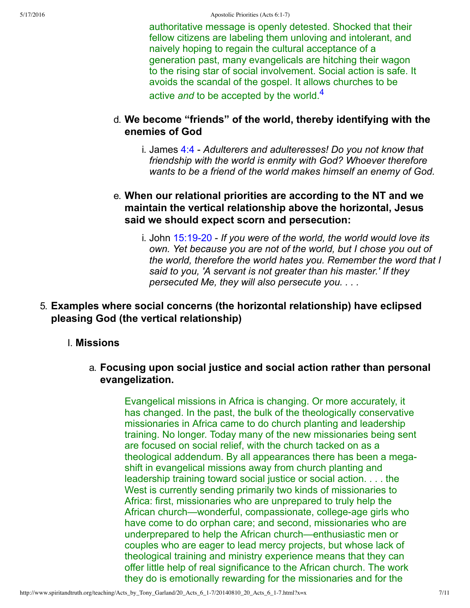<span id="page-6-0"></span>authoritative message is openly detested. Shocked that their fellow citizens are labeling them unloving and intolerant, and naively hoping to regain the cultural acceptance of a generation past, many evangelicals are hitching their wagon to the rising star of social involvement. Social action is safe. It avoids the scandal of the gospel. It allows churches to be active *and* to be accepted by the world.[4](#page-10-3)

## d. **We become "friends" of the world, thereby identifying with the enemies of God**

i. James [4:4](http://www.spiritandtruth.org/bibles/nasb/b59c004.htm#Jas._C4V4)  *Adulterers and adulteresses! Do you not know that friendship with the world is enmity with God? Whoever therefore wants to be a friend of the world makes himself an enemy of God.*

## e. **When our relational priorities are according to the NT and we maintain the vertical relationship above the horizontal, Jesus said we should expect scorn and persecution:**

i. John 15:19-20 - If you were of the world, the world would love its *own. Yet because you are not of the world, but I chose you out of the world, therefore the world hates you. Remember the word that I said to you, 'A servant is not greater than his master.' If they persecuted Me, they will also persecute you. . . .*

## 5. **Examples where social concerns (the horizontal relationship) have eclipsed pleasing God (the vertical relationship)**

## I. **Missions**

## a. **Focusing upon social justice and social action rather than personal evangelization.**

Evangelical missions in Africa is changing. Or more accurately, it has changed. In the past, the bulk of the theologically conservative missionaries in Africa came to do church planting and leadership training. No longer. Today many of the new missionaries being sent are focused on social relief, with the church tacked on as a theological addendum. By all appearances there has been a megashift in evangelical missions away from church planting and leadership training toward social justice or social action. . . . the West is currently sending primarily two kinds of missionaries to Africa: first, missionaries who are unprepared to truly help the African church—wonderful, compassionate, college-age girls who have come to do orphan care; and second, missionaries who are underprepared to help the African church—enthusiastic men or couples who are eager to lead mercy projects, but whose lack of theological training and ministry experience means that they can offer little help of real significance to the African church. The work they do is emotionally rewarding for the missionaries and for the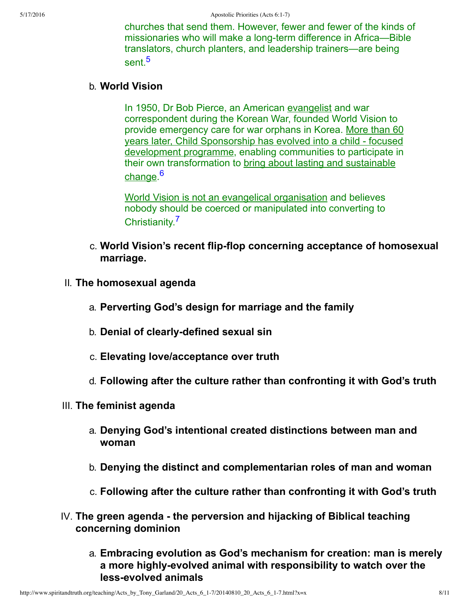<span id="page-7-0"></span>churches that send them. However, fewer and fewer of the kinds of missionaries who will make a long-term difference in Africa—Bible translators, church planters, and leadership trainers—are being sent<sup>[5](#page-10-4)</sup>

#### b. **World Vision**

In 1950, Dr Bob Pierce, an American evangelist and war correspondent during the Korean War, founded World Vision to provide emergency care for war orphans in Korea. More than 60 years later, Child Sponsorship has evolved into a child - focused development programme, enabling communities to participate in their own transformation to bring about lasting and sustainable <u>change</u>.<sup>[6](#page-10-5)</sup>

<span id="page-7-2"></span><span id="page-7-1"></span>World Vision is not an evangelical organisation and believes nobody should be coerced or manipulated into converting to Christianity.[7](#page-10-6)

- c. **World Vision's recent flipflop concerning acceptance of homosexual marriage.**
- II. **The homosexual agenda**
	- a. **Perverting God's design for marriage and the family**
	- b. **Denial of clearly-defined sexual sin**
	- c. **Elevating love/acceptance over truth**
	- d. **Following after the culture rather than confronting it with God's truth**
- III. **The feminist agenda**
	- a. **Denying God's intentional created distinctions between man and woman**
	- b. **Denying the distinct and complementarian roles of man and woman**
	- c. **Following after the culture rather than confronting it with God's truth**
- IV. The green agenda the perversion and hijacking of Biblical teaching **concerning dominion**
	- a. **Embracing evolution as God's mechanism for creation: man is merely** a more highly-evolved animal with responsibility to watch over the **lessevolved animals**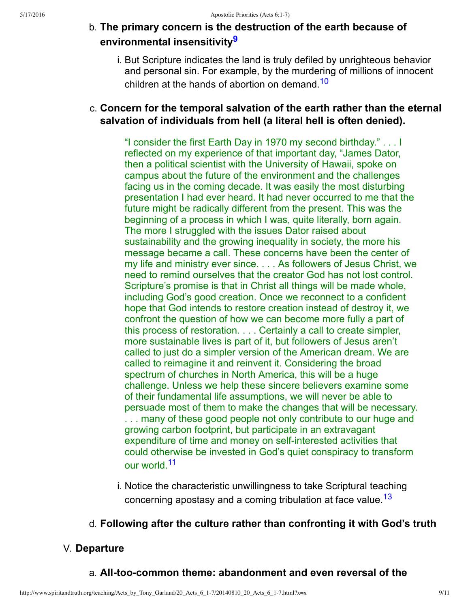## b. **The primary concern is the destruction of the earth because of environmental insensitivity[9](#page-10-7)**

<span id="page-8-1"></span><span id="page-8-0"></span>i. But Scripture indicates the land is truly defiled by unrighteous behavior and personal sin. For example, by the murdering of millions of innocent children at the hands of abortion on demand.<sup>[10](#page-10-8)</sup>

## c. **Concern for the temporal salvation of the earth rather than the eternal salvation of individuals from hell (a literal hell is often denied).**

"I consider the first Earth Day in 1970 my second birthday." . . . I reflected on my experience of that important day, "James Dator, then a political scientist with the University of Hawaii, spoke on campus about the future of the environment and the challenges facing us in the coming decade. It was easily the most disturbing presentation I had ever heard. It had never occurred to me that the future might be radically different from the present. This was the beginning of a process in which I was, quite literally, born again. The more I struggled with the issues Dator raised about sustainability and the growing inequality in society, the more his message became a call. These concerns have been the center of my life and ministry ever since. . . . As followers of Jesus Christ, we need to remind ourselves that the creator God has not lost control. Scripture's promise is that in Christ all things will be made whole, including God's good creation. Once we reconnect to a confident hope that God intends to restore creation instead of destroy it, we confront the question of how we can become more fully a part of this process of restoration. . . . Certainly a call to create simpler, more sustainable lives is part of it, but followers of Jesus aren't called to just do a simpler version of the American dream. We are called to reimagine it and reinvent it. Considering the broad spectrum of churches in North America, this will be a huge challenge. Unless we help these sincere believers examine some of their fundamental life assumptions, we will never be able to persuade most of them to make the changes that will be necessary. ... many of these good people not only contribute to our huge and growing carbon footprint, but participate in an extravagant expenditure of time and money on self-interested activities that could otherwise be invested in God's quiet conspiracy to transform our world.<sup>[11](#page-10-9)</sup>

<span id="page-8-3"></span><span id="page-8-2"></span>i. Notice the characteristic unwillingness to take Scriptural teaching concerning apostasy and a coming tribulation at face value.<sup>[13](#page-10-10)</sup>

## d. **Following after the culture rather than confronting it with God's truth**

## V. **Departure**

## a. **All-too-common theme: abandonment and even reversal of the**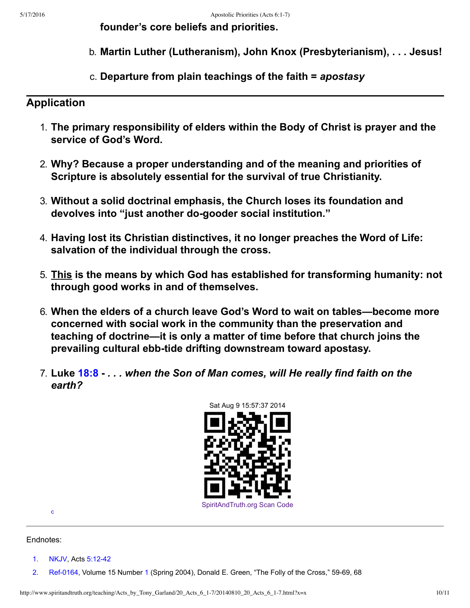**founder's core beliefs and priorities.**

- b. **Martin Luther (Lutheranism), John Knox (Presbyterianism), . . . Jesus!**
- c. **Departure from plain teachings of the faith =** *apostasy*

## **Application**

- 1. **The primary responsibility of elders within the Body of Christ is prayer and the service of God's Word.**
- 2. **Why? Because a proper understanding and of the meaning and priorities of Scripture is absolutely essential for the survival of true Christianity.**
- 3. **Without a solid doctrinal emphasis, the Church loses its foundation and devolves into "just another dogooder social institution."**
- 4. **Having lost its Christian distinctives, it no longer preaches the Word of Life: salvation of the individual through the cross.**
- 5. **This is the means by which God has established for transforming humanity: not through good works in and of themselves.**
- 6. **When the elders of a church leave God's Word to wait on tables—become more concerned with social work in the community than the preservation and teaching of doctrine—it is only a matter of time before that church joins the** prevailing cultural ebb-tide drifting downstream toward apostasy.
- 7. **Luke [18:8](http://www.spiritandtruth.org/bibles/nasb/b42c018.htm#Luke_C18V8)** *. . . when the Son of Man comes, will He really find faith on the earth?*



<span id="page-9-2"></span>[c](#page-10-11)

#### Endnotes:

- <span id="page-9-0"></span>[1.](#page-0-0) [NKJV](#page-10-12), Acts 5:12-42
- <span id="page-9-1"></span>[2.](#page-10-13) Ref-0164, Volume 15 Number [1](http://www.spiritandtruth.org/bibles/nasb/b04c001.htm#Num._C1V1) (Spring 2004), Donald E. Green, "The Folly of the Cross," 59-69, 68